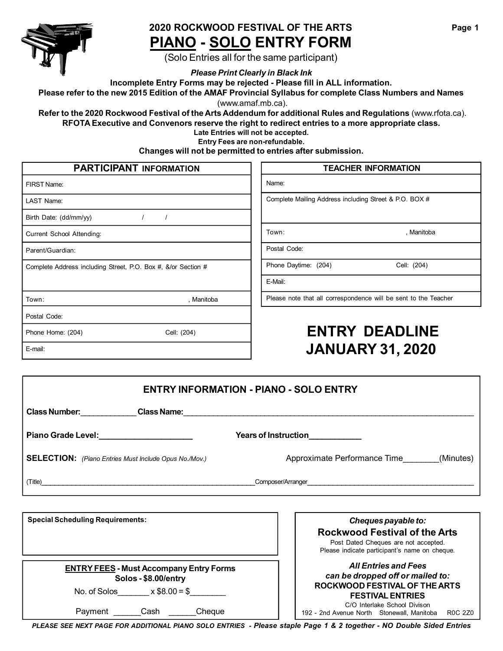

#### **2020 ROCKWOOD FESTIVAL OF THE ARTS PIANO - SOLO ENTRY FORM**

(Solo Entries all for the same participant)

*Please Print Clearly in Black Ink*

**Incomplete Entry Forms may be rejected - Please fill in ALL information.**

Please refer to the new 2015 Edition of the AMAF Provincial Syllabus for complete Class Numbers and Names

(www.amaf.mb.ca).

**Refer to the 2020 Rockwood Festival of the Arts Addendum for additional Rules and Regulations** (www.rfota.ca). **RFOTA Executive and Convenors reserve the right to redirect entries to a more appropriate class.**

**Late Entries will not be accepted.**

**Entry Fees are non-refundable.**

**Changes will not be permitted to entries after submission.**

| <b>PARTICIPANT INFORMATION</b> |  |
|--------------------------------|--|
|--------------------------------|--|

| FIRST Name:                                                   |             |
|---------------------------------------------------------------|-------------|
| LAST Name:                                                    |             |
| Birth Date: (dd/mm/yy)<br>$\prime$                            | $\prime$    |
| Current School Attending:                                     |             |
| Parent/Guardian:                                              |             |
| Complete Address including Street, P.O. Box #, &/or Section # |             |
| Town:                                                         | , Manitoba  |
| Postal Code:                                                  |             |
| Phone Home: (204)                                             | Cell: (204) |
| E-mail:                                                       |             |

| <b>PARTICIPANT INFORMATION</b>                  |                                                        | <b>TEACHER INFORMATION</b>                                      |  |
|-------------------------------------------------|--------------------------------------------------------|-----------------------------------------------------------------|--|
|                                                 | Name:                                                  |                                                                 |  |
|                                                 | Complete Mailing Address including Street & P.O. BOX # |                                                                 |  |
|                                                 |                                                        |                                                                 |  |
|                                                 | Town:                                                  | , Manitoba                                                      |  |
|                                                 | Postal Code:                                           |                                                                 |  |
| is including Street, P.O. Box #, &/or Section # | Phone Daytime: (204)                                   | Cell: (204)                                                     |  |
|                                                 | E-Mail:                                                |                                                                 |  |
| , Manitoba                                      |                                                        | Please note that all correspondence will be sent to the Teacher |  |
|                                                 |                                                        |                                                                 |  |

# **ENTRY DEADLINE JANUARY 31, 2020**

**Rockwood Festival of the Arts**

Manitoba R0C 2Z0

| <b>ENTRY INFORMATION - PIANO - SOLO ENTRY</b>                |  |                                           |
|--------------------------------------------------------------|--|-------------------------------------------|
| <b>Class Number:</b> No. 1996                                |  |                                           |
| Piano Grade Level:<br><u> </u>                               |  | Years of Instruction____________          |
| <b>SELECTION:</b> (Piano Entries Must Include Opus No./Mov.) |  | (Minutes)<br>Approximate Performance Time |
|                                                              |  |                                           |
|                                                              |  |                                           |
| <b>Special Scheduling Requirements:</b>                      |  | Cheques payable to:                       |

|                                                | Post Dated Cheques are not accepted.<br>Please indicate participant's name on cheque. |
|------------------------------------------------|---------------------------------------------------------------------------------------|
| <b>ENTRY FEES - Must Accompany Entry Forms</b> | <b>All Entries and Fees</b>                                                           |
| Solos - \$8.00/entry                           | can be dropped off or mailed to:                                                      |
| $x $8.00 = $$                                  | ROCKWOOD FESTIVAL OF THE ARTS                                                         |
| No. of Solos                                   | <b>FESTIVAL ENTRIES</b>                                                               |
| Cheque                                         | C/O Interlake School Divison                                                          |
| Payment                                        | R <sub>0</sub> C                                                                      |
| Cash                                           | 192 - 2nd Avenue North Stonewall, Manitoba                                            |

*PLEASE SEE NEXT PAGE FOR ADDITIONAL PIANO SOLO ENTRIES - Please staple Page 1 & 2 together - NO Double Sided Entries*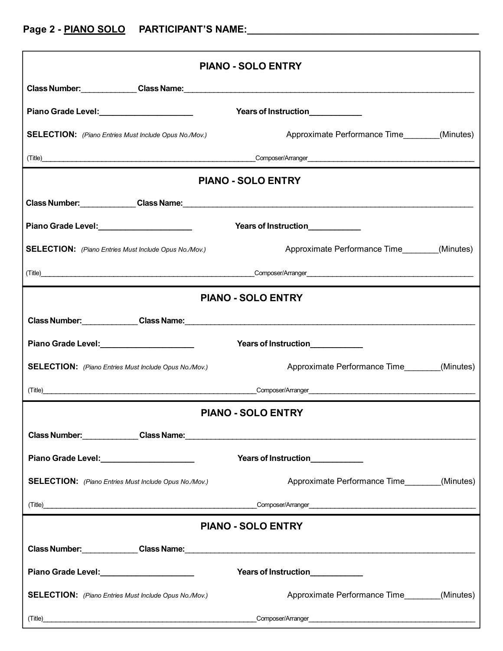| <b>PIANO - SOLO ENTRY</b>                                                                                                                                                                                                      |                                                                                                                                                                                                                                |  |
|--------------------------------------------------------------------------------------------------------------------------------------------------------------------------------------------------------------------------------|--------------------------------------------------------------------------------------------------------------------------------------------------------------------------------------------------------------------------------|--|
|                                                                                                                                                                                                                                |                                                                                                                                                                                                                                |  |
|                                                                                                                                                                                                                                | Years of Instruction____________                                                                                                                                                                                               |  |
| <b>SELECTION:</b> (Piano Entries Must Include Opus No./Mov.)                                                                                                                                                                   | Approximate Performance Time________(Minutes)                                                                                                                                                                                  |  |
|                                                                                                                                                                                                                                |                                                                                                                                                                                                                                |  |
| <b>PIANO - SOLO ENTRY</b>                                                                                                                                                                                                      |                                                                                                                                                                                                                                |  |
|                                                                                                                                                                                                                                |                                                                                                                                                                                                                                |  |
| Piano Grade Level: National Assembly Piano Grade Level:                                                                                                                                                                        | Years of Instruction___________                                                                                                                                                                                                |  |
| <b>SELECTION:</b> (Piano Entries Must Include Opus No./Mov.)                                                                                                                                                                   | Approximate Performance Time________(Minutes)                                                                                                                                                                                  |  |
|                                                                                                                                                                                                                                |                                                                                                                                                                                                                                |  |
|                                                                                                                                                                                                                                | <b>PIANO - SOLO ENTRY</b>                                                                                                                                                                                                      |  |
| Class Number: Class Name: Class Name: Class Name: Class Number: Class Number: Class Number: Class Name: Class Name: Class Number: Class Number: Class Number: Class Number: Class Number: Class Number: Class Number: Class Nu |                                                                                                                                                                                                                                |  |
| Piano Grade Level: Marian Marian Marian Marian Maria                                                                                                                                                                           | Years of Instruction____________                                                                                                                                                                                               |  |
| <b>SELECTION:</b> (Piano Entries Must Include Opus No./Mov.)                                                                                                                                                                   | Approximate Performance Time________(Minutes)                                                                                                                                                                                  |  |
|                                                                                                                                                                                                                                | (Title) Composer/Arranger Composer/Arranger Composer/Arranger Composer/Arranger Composer/Arranger Composer/Arranger Composer/Arranger Composer/Arranger Composer/Arranger Composer/Arranger Composer/Arranger Composer/Arrange |  |
|                                                                                                                                                                                                                                | <b>PIANO - SOLO ENTRY</b>                                                                                                                                                                                                      |  |
|                                                                                                                                                                                                                                |                                                                                                                                                                                                                                |  |
| Piano Grade Level: Marian Marian Marian Marian Maria                                                                                                                                                                           | Years of Instruction___________                                                                                                                                                                                                |  |
| <b>SELECTION:</b> (Piano Entries Must Include Opus No./Mov.)                                                                                                                                                                   | Approximate Performance Time________(Minutes)                                                                                                                                                                                  |  |
|                                                                                                                                                                                                                                |                                                                                                                                                                                                                                |  |
| <b>PIANO - SOLO ENTRY</b>                                                                                                                                                                                                      |                                                                                                                                                                                                                                |  |
|                                                                                                                                                                                                                                | Class Number: Class Name: Class Name: 2008. 2008. 2014. 2014. 2015. 2016. 2017. 2018. 2019. 2019. 2019. 2019. 2019. 2019. 2019. 2019. 2019. 2019. 2019. 2019. 2019. 2019. 2019. 2019. 2019. 2019. 2019. 2019. 2019. 2019. 2019 |  |
| Piano Grade Level: Marian Marian Marian Marian Maria                                                                                                                                                                           | Years of Instruction____________                                                                                                                                                                                               |  |
| <b>SELECTION:</b> (Piano Entries Must Include Opus No./Mov.)                                                                                                                                                                   | Approximate Performance Time_________(Minutes)                                                                                                                                                                                 |  |
| (Title)                                                                                                                                                                                                                        |                                                                                                                                                                                                                                |  |